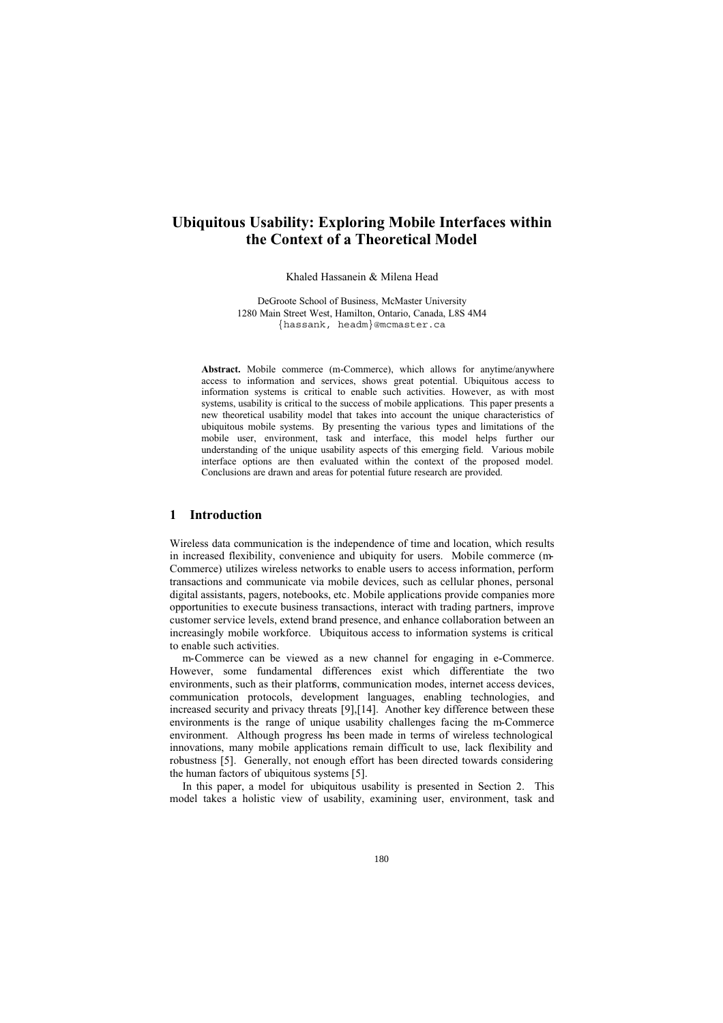# **Ubiquitous Usability: Exploring Mobile Interfaces within the Context of a Theoretical Model**

Khaled Hassanein & Milena Head

DeGroote School of Business, McMaster University 1280 Main Street West, Hamilton, Ontario, Canada, L8S 4M4 {hassank, headm}@mcmaster.ca

Abstract. Mobile commerce (m-Commerce), which allows for anytime/anywhere access to information and services, shows great potential. Ubiquitous access to information systems is critical to enable such activities. However, as with most systems, usability is critical to the success of mobile applications. This paper presents a new theoretical usability model that takes into account the unique characteristics of ubiquitous mobile systems. By presenting the various types and limitations of the mobile user, environment, task and interface, this model helps further our understanding of the unique usability aspects of this emerging field. Various mobile interface options are then evaluated within the context of the proposed model. Conclusions are drawn and areas for potential future research are provided.

### **1 Introduction**

Wireless data communication is the independence of time and location, which results in increased flexibility, convenience and ubiquity for users. Mobile commerce (m-Commerce) utilizes wireless networks to enable users to access information, perform transactions and communicate via mobile devices, such as cellular phones, personal digital assistants, pagers, notebooks, etc. Mobile applications provide companies more opportunities to execute business transactions, interact with trading partners, improve customer service levels, extend brand presence, and enhance collaboration between an increasingly mobile workforce. Ubiquitous access to information systems is critical to enable such activities.

m-Commerce can be viewed as a new channel for engaging in e-Commerce. However, some fundamental differences exist which differentiate the two environments, such as their platforms, communication modes, internet access devices, communication protocols, development languages, enabling technologies, and increased security and privacy threats [9],[14]. Another key difference between these environments is the range of unique usability challenges facing the m-Commerce environment. Although progress has been made in terms of wireless technological innovations, many mobile applications remain difficult to use, lack flexibility and robustness [5]. Generally, not enough effort has been directed towards considering the human factors of ubiquitous systems [5].

In this paper, a model for ubiquitous usability is presented in Section 2. This model takes a holistic view of usability, examining user, environment, task and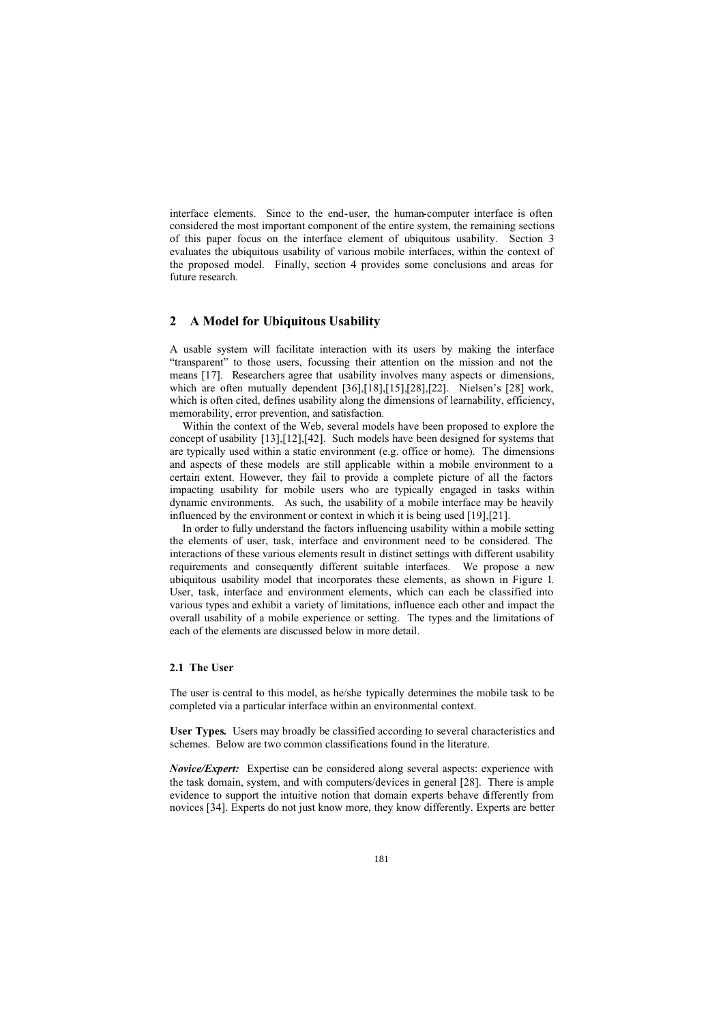interface elements. Since to the end-user, the human-computer interface is often considered the most important component of the entire system, the remaining sections of this paper focus on the interface element of ubiquitous usability. Section 3 evaluates the ubiquitous usability of various mobile interfaces, within the context of the proposed model. Finally, section 4 provides some conclusions and areas for future research.

### **2 A Model for Ubiquitous Usability**

A usable system will facilitate interaction with its users by making the interface "transparent" to those users, focussing their attention on the mission and not the means [17]. Researchers agree that usability involves many aspects or dimensions, which are often mutually dependent [36],[18],[15],[28],[22]. Nielsen's [28] work, which is often cited, defines usability along the dimensions of learnability, efficiency, memorability, error prevention, and satisfaction.

Within the context of the Web, several models have been proposed to explore the concept of usability [13],[12],[42]. Such models have been designed for systems that are typically used within a static environment (e.g. office or home). The dimensions and aspects of these models are still applicable within a mobile environment to a certain extent. However, they fail to provide a complete picture of all the factors impacting usability for mobile users who are typically engaged in tasks within dynamic environments. As such, the usability of a mobile interface may be heavily influenced by the environment or context in which it is being used [19],[21].

In order to fully understand the factors influencing usability within a mobile setting the elements of user, task, interface and environment need to be considered. The interactions of these various elements result in distinct settings with different usability requirements and consequently different suitable interfaces. We propose a new ubiquitous usability model that incorporates these elements, as shown in Figure 1. User, task, interface and environment elements, which can each be classified into various types and exhibit a variety of limitations, influence each other and impact the overall usability of a mobile experience or setting. The types and the limitations of each of the elements are discussed below in more detail.

#### **2.1 The User**

The user is central to this model, as he/she typically determines the mobile task to be completed via a particular interface within an environmental context.

**User Types.** Users may broadly be classified according to several characteristics and schemes. Below are two common classifications found in the literature.

*Novice/Expert:* Expertise can be considered along several aspects: experience with the task domain, system, and with computers/devices in general [28]. There is ample evidence to support the intuitive notion that domain experts behave differently from novices [34]. Experts do not just know more, they know differently. Experts are better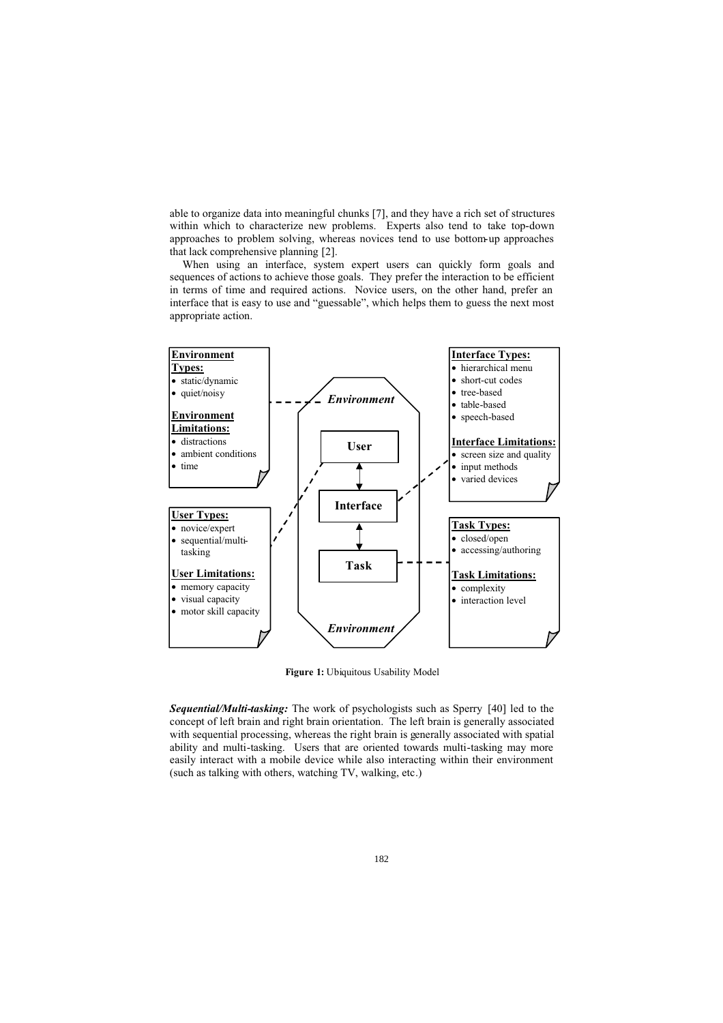able to organize data into meaningful chunks [7], and they have a rich set of structures within which to characterize new problems. Experts also tend to take top-down approaches to problem solving, whereas novices tend to use bottom-up approaches that lack comprehensive planning [2].

When using an interface, system expert users can quickly form goals and sequences of actions to achieve those goals. They prefer the interaction to be efficient in terms of time and required actions. Novice users, on the other hand, prefer an interface that is easy to use and "guessable", which helps them to guess the next most appropriate action.



**Figure 1:** Ubiquitous Usability Model

*Sequential/Multi-tasking:* The work of psychologists such as Sperry [40] led to the concept of left brain and right brain orientation. The left brain is generally associated with sequential processing, whereas the right brain is generally associated with spatial ability and multi-tasking. Users that are oriented towards multi-tasking may more easily interact with a mobile device while also interacting within their environment (such as talking with others, watching TV, walking, etc.)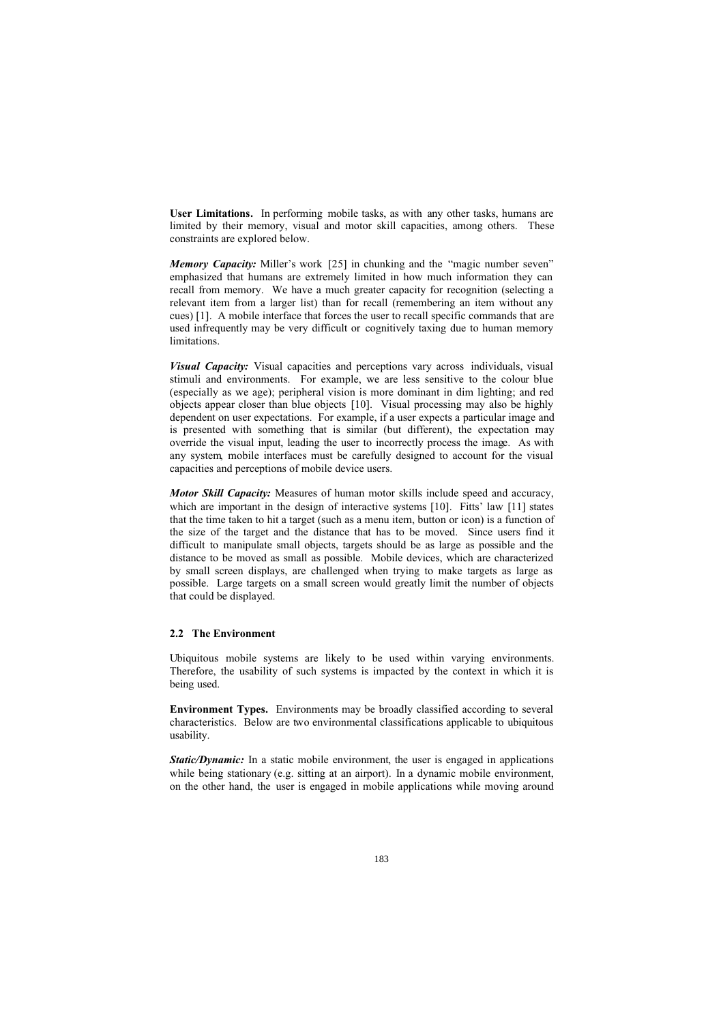**User Limitations.** In performing mobile tasks, as with any other tasks, humans are limited by their memory, visual and motor skill capacities, among others. These constraints are explored below.

*Memory Capacity:* Miller's work [25] in chunking and the "magic number seven" emphasized that humans are extremely limited in how much information they can recall from memory. We have a much greater capacity for recognition (selecting a relevant item from a larger list) than for recall (remembering an item without any cues) [1]. A mobile interface that forces the user to recall specific commands that are used infrequently may be very difficult or cognitively taxing due to human memory limitations.

*Visual Capacity:* Visual capacities and perceptions vary across individuals, visual stimuli and environments. For example, we are less sensitive to the colour blue (especially as we age); peripheral vision is more dominant in dim lighting; and red objects appear closer than blue objects [10]. Visual processing may also be highly dependent on user expectations. For example, if a user expects a particular image and is presented with something that is similar (but different), the expectation may override the visual input, leading the user to incorrectly process the image. As with any system, mobile interfaces must be carefully designed to account for the visual capacities and perceptions of mobile device users.

*Motor Skill Capacity:* Measures of human motor skills include speed and accuracy, which are important in the design of interactive systems [10]. Fitts' law [11] states that the time taken to hit a target (such as a menu item, button or icon) is a function of the size of the target and the distance that has to be moved. Since users find it difficult to manipulate small objects, targets should be as large as possible and the distance to be moved as small as possible. Mobile devices, which are characterized by small screen displays, are challenged when trying to make targets as large as possible. Large targets on a small screen would greatly limit the number of objects that could be displayed.

#### **2.2 The Environment**

Ubiquitous mobile systems are likely to be used within varying environments. Therefore, the usability of such systems is impacted by the context in which it is being used.

**Environment Types.** Environments may be broadly classified according to several characteristics. Below are two environmental classifications applicable to ubiquitous usability.

*Static/Dynamic:* In a static mobile environment, the user is engaged in applications while being stationary (e.g. sitting at an airport). In a dynamic mobile environment, on the other hand, the user is engaged in mobile applications while moving around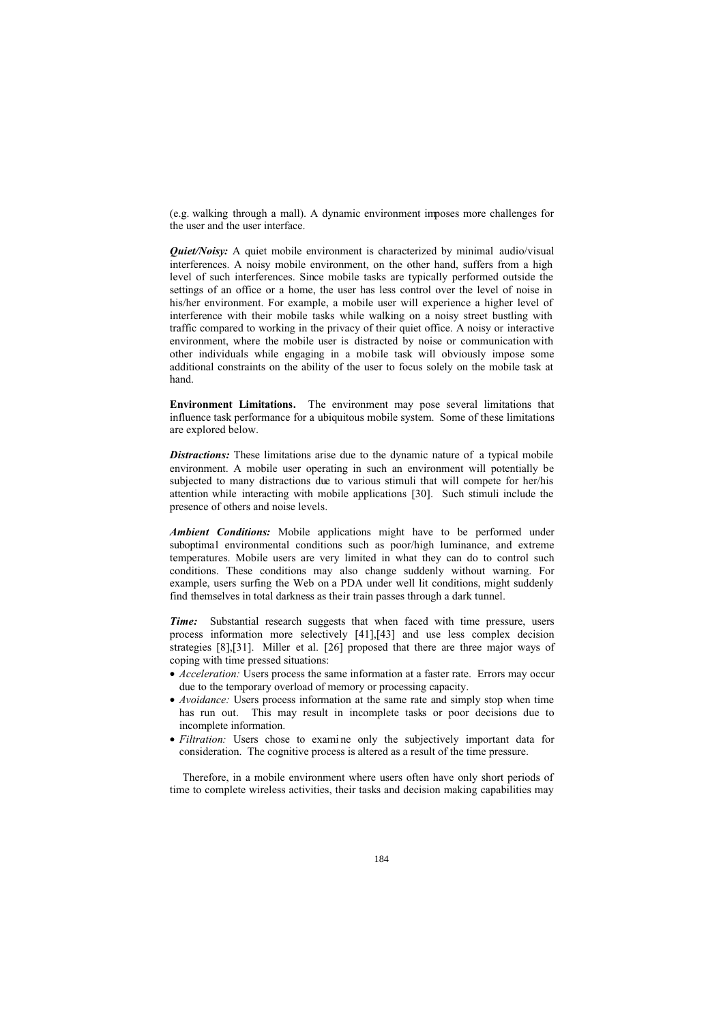(e.g. walking through a mall). A dynamic environment imposes more challenges for the user and the user interface.

*Quiet/Noisy:* A quiet mobile environment is characterized by minimal audio/visual interferences. A noisy mobile environment, on the other hand, suffers from a high level of such interferences. Since mobile tasks are typically performed outside the settings of an office or a home, the user has less control over the level of noise in his/her environment. For example, a mobile user will experience a higher level of interference with their mobile tasks while walking on a noisy street bustling with traffic compared to working in the privacy of their quiet office. A noisy or interactive environment, where the mobile user is distracted by noise or communication with other individuals while engaging in a mobile task will obviously impose some additional constraints on the ability of the user to focus solely on the mobile task at hand.

**Environment Limitations.** The environment may pose several limitations that influence task performance for a ubiquitous mobile system. Some of these limitations are explored below.

**Distractions:** These limitations arise due to the dynamic nature of a typical mobile environment. A mobile user operating in such an environment will potentially be subjected to many distractions due to various stimuli that will compete for her/his attention while interacting with mobile applications [30]. Such stimuli include the presence of others and noise levels.

*Ambient Conditions:* Mobile applications might have to be performed under suboptimal environmental conditions such as poor/high luminance, and extreme temperatures. Mobile users are very limited in what they can do to control such conditions. These conditions may also change suddenly without warning. For example, users surfing the Web on a PDA under well lit conditions, might suddenly find themselves in total darkness as their train passes through a dark tunnel.

*Time:* Substantial research suggests that when faced with time pressure, users process information more selectively [41],[43] and use less complex decision strategies [8],[31]. Miller et al. [26] proposed that there are three major ways of coping with time pressed situations:

- *Acceleration:* Users process the same information at a faster rate. Errors may occur due to the temporary overload of memory or processing capacity.
- *Avoidance:* Users process information at the same rate and simply stop when time has run out. This may result in incomplete tasks or poor decisions due to incomplete information.
- *Filtration:* Users chose to examine only the subjectively important data for consideration. The cognitive process is altered as a result of the time pressure.

Therefore, in a mobile environment where users often have only short periods of time to complete wireless activities, their tasks and decision making capabilities may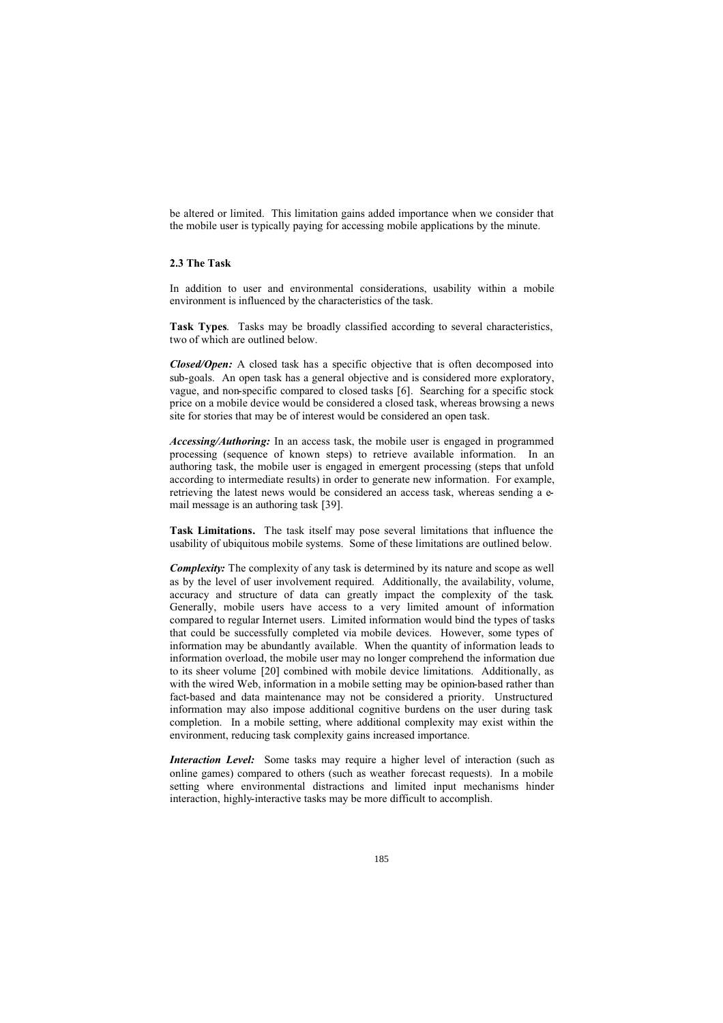be altered or limited. This limitation gains added importance when we consider that the mobile user is typically paying for accessing mobile applications by the minute.

#### **2.3 The Task**

In addition to user and environmental considerations, usability within a mobile environment is influenced by the characteristics of the task.

**Task Types**. Tasks may be broadly classified according to several characteristics, two of which are outlined below.

*Closed/Open:* A closed task has a specific objective that is often decomposed into sub-goals. An open task has a general objective and is considered more exploratory, vague, and non-specific compared to closed tasks [6]. Searching for a specific stock price on a mobile device would be considered a closed task, whereas browsing a news site for stories that may be of interest would be considered an open task.

*Accessing/Authoring:* In an access task, the mobile user is engaged in programmed processing (sequence of known steps) to retrieve available information. In an authoring task, the mobile user is engaged in emergent processing (steps that unfold according to intermediate results) in order to generate new information. For example, retrieving the latest news would be considered an access task, whereas sending a email message is an authoring task [39].

**Task Limitations.** The task itself may pose several limitations that influence the usability of ubiquitous mobile systems. Some of these limitations are outlined below.

*Complexity:* The complexity of any task is determined by its nature and scope as well as by the level of user involvement required. Additionally, the availability, volume, accuracy and structure of data can greatly impact the complexity of the task. Generally, mobile users have access to a very limited amount of information compared to regular Internet users. Limited information would bind the types of tasks that could be successfully completed via mobile devices. However, some types of information may be abundantly available. When the quantity of information leads to information overload, the mobile user may no longer comprehend the information due to its sheer volume [20] combined with mobile device limitations. Additionally, as with the wired Web, information in a mobile setting may be opinion-based rather than fact-based and data maintenance may not be considered a priority. Unstructured information may also impose additional cognitive burdens on the user during task completion. In a mobile setting, where additional complexity may exist within the environment, reducing task complexity gains increased importance.

*Interaction Level:* Some tasks may require a higher level of interaction (such as online games) compared to others (such as weather forecast requests). In a mobile setting where environmental distractions and limited input mechanisms hinder interaction, highly-interactive tasks may be more difficult to accomplish.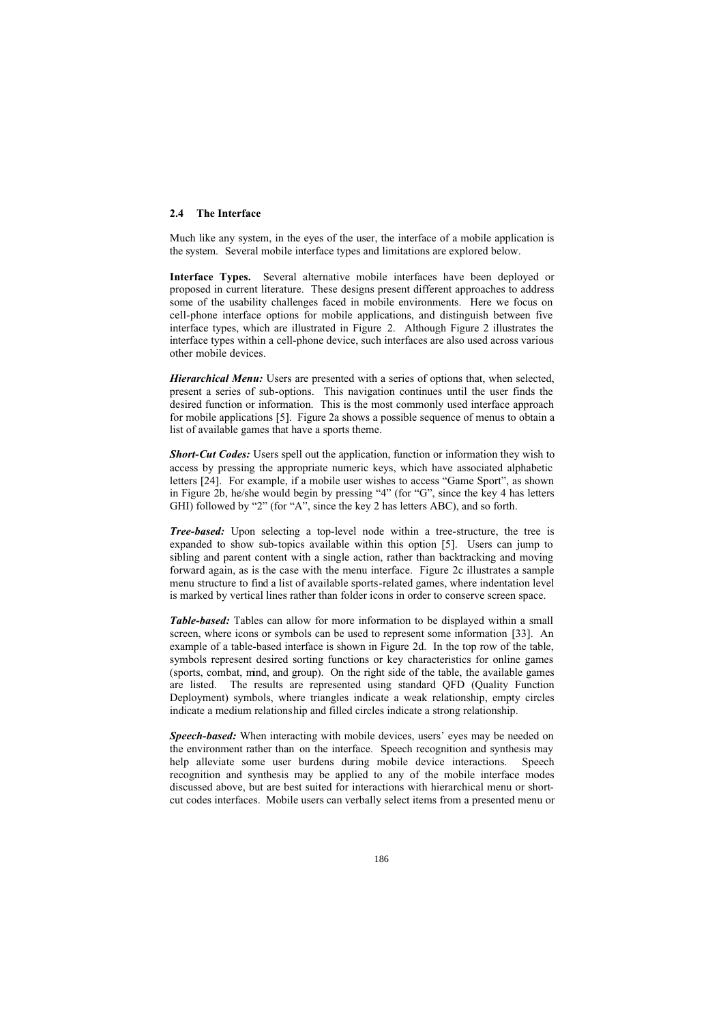#### **2.4 The Interface**

Much like any system, in the eyes of the user, the interface of a mobile application is the system. Several mobile interface types and limitations are explored below.

**Interface Types.** Several alternative mobile interfaces have been deployed or proposed in current literature. These designs present different approaches to address some of the usability challenges faced in mobile environments. Here we focus on cell-phone interface options for mobile applications, and distinguish between five interface types, which are illustrated in Figure 2. Although Figure 2 illustrates the interface types within a cell-phone device, such interfaces are also used across various other mobile devices.

*Hierarchical Menu:* Users are presented with a series of options that, when selected, present a series of sub-options. This navigation continues until the user finds the desired function or information. This is the most commonly used interface approach for mobile applications [5]. Figure 2a shows a possible sequence of menus to obtain a list of available games that have a sports theme.

**Short-Cut Codes:** Users spell out the application, function or information they wish to access by pressing the appropriate numeric keys, which have associated alphabetic letters [24]. For example, if a mobile user wishes to access "Game Sport", as shown in Figure 2b, he/she would begin by pressing "4" (for "G", since the key 4 has letters GHI) followed by "2" (for "A", since the key 2 has letters ABC), and so forth.

*Tree-based:* Upon selecting a top-level node within a tree-structure, the tree is expanded to show sub-topics available within this option [5]. Users can jump to sibling and parent content with a single action, rather than backtracking and moving forward again, as is the case with the menu interface. Figure 2c illustrates a sample menu structure to find a list of available sports-related games, where indentation level is marked by vertical lines rather than folder icons in order to conserve screen space.

*Table-based:* Tables can allow for more information to be displayed within a small screen, where icons or symbols can be used to represent some information [33]. An example of a table-based interface is shown in Figure 2d. In the top row of the table, symbols represent desired sorting functions or key characteristics for online games (sports, combat, mind, and group). On the right side of the table, the available games are listed. The results are represented using standard QFD (Quality Function Deployment) symbols, where triangles indicate a weak relationship, empty circles indicate a medium relationship and filled circles indicate a strong relationship.

*Speech-based:* When interacting with mobile devices, users' eyes may be needed on the environment rather than on the interface. Speech recognition and synthesis may help alleviate some user burdens during mobile device interactions. Speech recognition and synthesis may be applied to any of the mobile interface modes discussed above, but are best suited for interactions with hierarchical menu or shortcut codes interfaces. Mobile users can verbally select items from a presented menu or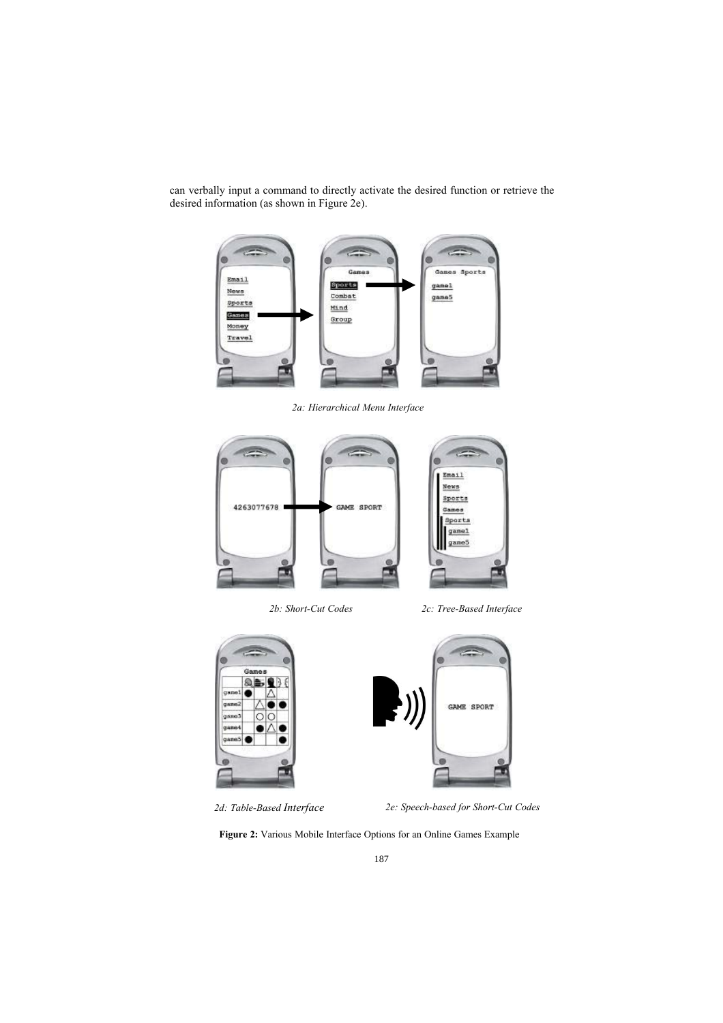can verbally input a command to directly activate the desired function or retrieve the desired information (as shown in Figure 2e).



*2a: Hierarchical Menu Interface*



*2b: Short-Cut Codes 2c: Tree-Based Interface*



*2d: Table-Based Interface 2e: Speech-based for Short-Cut Codes*

**Figure 2:** Various Mobile Interface Options for an Online Games Example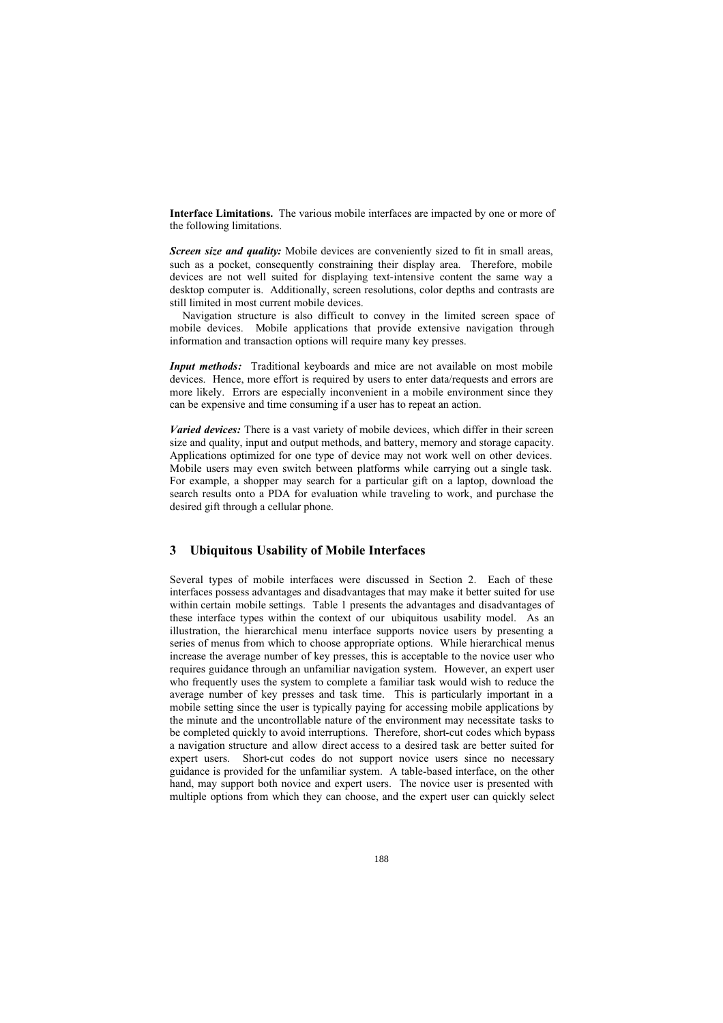**Interface Limitations.** The various mobile interfaces are impacted by one or more of the following limitations.

*Screen size and quality:* Mobile devices are conveniently sized to fit in small areas, such as a pocket, consequently constraining their display area. Therefore, mobile devices are not well suited for displaying text-intensive content the same way a desktop computer is. Additionally, screen resolutions, color depths and contrasts are still limited in most current mobile devices.

Navigation structure is also difficult to convey in the limited screen space of mobile devices. Mobile applications that provide extensive navigation through information and transaction options will require many key presses.

*Input methods:* Traditional keyboards and mice are not available on most mobile devices. Hence, more effort is required by users to enter data/requests and errors are more likely. Errors are especially inconvenient in a mobile environment since they can be expensive and time consuming if a user has to repeat an action.

*Varied devices:* There is a vast variety of mobile devices, which differ in their screen size and quality, input and output methods, and battery, memory and storage capacity. Applications optimized for one type of device may not work well on other devices. Mobile users may even switch between platforms while carrying out a single task. For example, a shopper may search for a particular gift on a laptop, download the search results onto a PDA for evaluation while traveling to work, and purchase the desired gift through a cellular phone.

## **3 Ubiquitous Usability of Mobile Interfaces**

Several types of mobile interfaces were discussed in Section 2. Each of these interfaces possess advantages and disadvantages that may make it better suited for use within certain mobile settings. Table 1 presents the advantages and disadvantages of these interface types within the context of our ubiquitous usability model. As an illustration, the hierarchical menu interface supports novice users by presenting a series of menus from which to choose appropriate options. While hierarchical menus increase the average number of key presses, this is acceptable to the novice user who requires guidance through an unfamiliar navigation system. However, an expert user who frequently uses the system to complete a familiar task would wish to reduce the average number of key presses and task time. This is particularly important in a mobile setting since the user is typically paying for accessing mobile applications by the minute and the uncontrollable nature of the environment may necessitate tasks to be completed quickly to avoid interruptions. Therefore, short-cut codes which bypass a navigation structure and allow direct access to a desired task are better suited for expert users. Short-cut codes do not support novice users since no necessary guidance is provided for the unfamiliar system. A table-based interface, on the other hand, may support both novice and expert users. The novice user is presented with multiple options from which they can choose, and the expert user can quickly select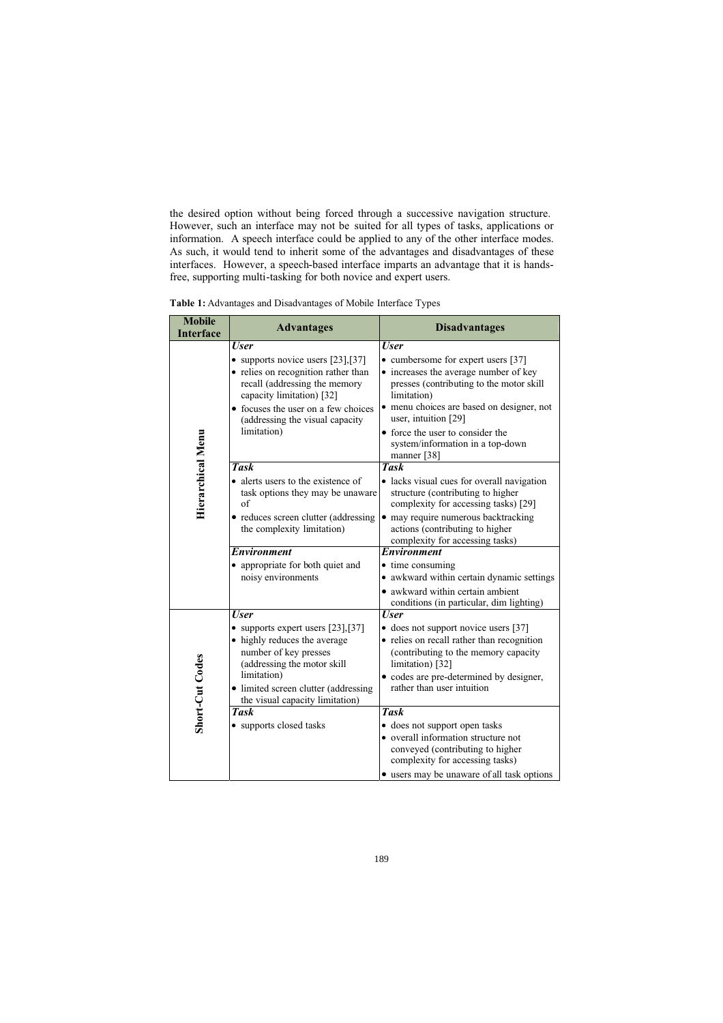the desired option without being forced through a successive navigation structure. However, such an interface may not be suited for all types of tasks, applications or information. A speech interface could be applied to any of the other interface modes. As such, it would tend to inherit some of the advantages and disadvantages of these interfaces. However, a speech-based interface imparts an advantage that it is handsfree, supporting multi-tasking for both novice and expert users.

**Table 1:** Advantages and Disadvantages of Mobile Interface Types

| <b>Mobile</b><br><b>Interface</b> | <b>Advantages</b>                                                                                                                                                                                                                                     | <b>Disadvantages</b>                                                                                                                                                                                                                                                                                              |
|-----------------------------------|-------------------------------------------------------------------------------------------------------------------------------------------------------------------------------------------------------------------------------------------------------|-------------------------------------------------------------------------------------------------------------------------------------------------------------------------------------------------------------------------------------------------------------------------------------------------------------------|
| Hierarchical Menu                 | <b>User</b><br>• supports novice users $[23]$ , $[37]$<br>• relies on recognition rather than<br>recall (addressing the memory<br>capacity limitation) [32]<br>• focuses the user on a few choices<br>(addressing the visual capacity)<br>limitation) | <b>User</b><br>• cumbersome for expert users [37]<br>• increases the average number of key<br>presses (contributing to the motor skill<br>limitation)<br>• menu choices are based on designer, not<br>user, intuition [29]<br>• force the user to consider the<br>system/information in a top-down<br>manner [38] |
|                                   | <b>Task</b><br>• alerts users to the existence of<br>task options they may be unaware<br>of<br>• reduces screen clutter (addressing<br>the complexity limitation)<br><b>Environment</b><br>• appropriate for both quiet and                           | <b>Task</b><br>• lacks visual cues for overall navigation<br>structure (contributing to higher<br>complexity for accessing tasks) [29]<br>• may require numerous backtracking<br>actions (contributing to higher<br>complexity for accessing tasks)<br><b>Environment</b><br>• time consuming                     |
|                                   | noisy environments                                                                                                                                                                                                                                    | • awkward within certain dynamic settings<br>awkward within certain ambient<br>conditions (in particular, dim lighting)                                                                                                                                                                                           |
| Short-Cut Codes                   | <b>User</b><br>• supports expert users $[23]$ , $[37]$<br>• highly reduces the average<br>number of key presses<br>(addressing the motor skill<br>limitation)<br>• limited screen clutter (addressing<br>the visual capacity limitation)              | <b>User</b><br>• does not support novice users [37]<br>• relies on recall rather than recognition<br>(contributing to the memory capacity<br>limitation) [32]<br>• codes are pre-determined by designer,<br>rather than user intuition                                                                            |
|                                   | <b>Task</b><br>• supports closed tasks                                                                                                                                                                                                                | <b>Task</b><br>· does not support open tasks<br>• overall information structure not<br>conveyed (contributing to higher<br>complexity for accessing tasks)<br>• users may be unaware of all task options                                                                                                          |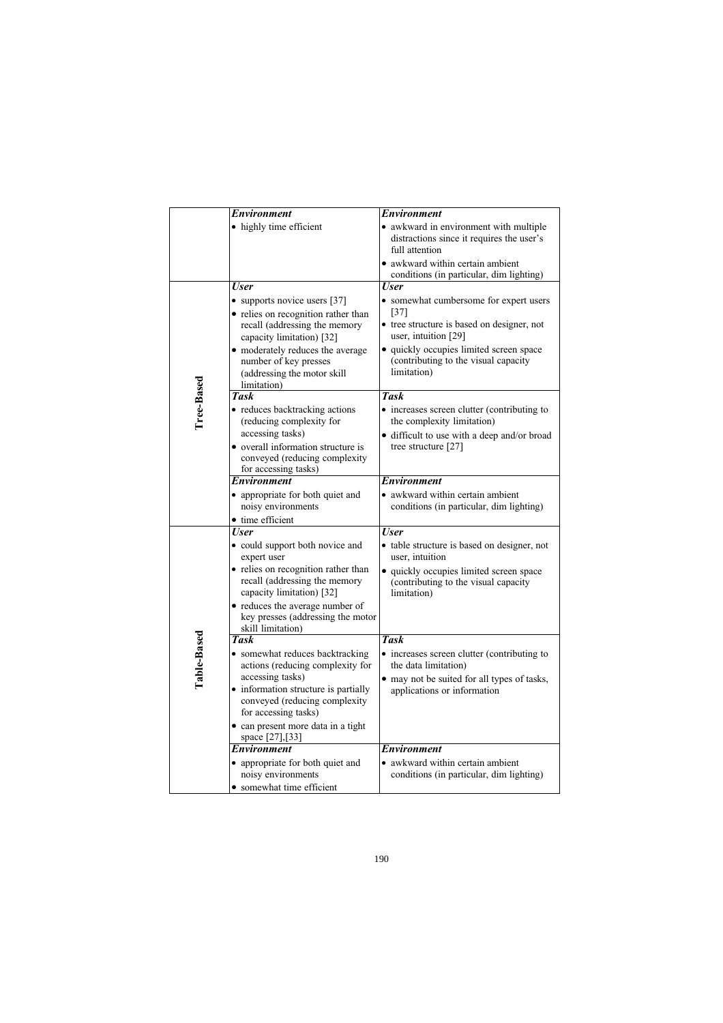|             | Environment                                                                                                                                                                                                                                                 | Environment                                                                                                                                                                                                                      |
|-------------|-------------------------------------------------------------------------------------------------------------------------------------------------------------------------------------------------------------------------------------------------------------|----------------------------------------------------------------------------------------------------------------------------------------------------------------------------------------------------------------------------------|
|             | • highly time efficient                                                                                                                                                                                                                                     | • awkward in environment with multiple<br>distractions since it requires the user's<br>full attention<br>• awkward within certain ambient                                                                                        |
|             |                                                                                                                                                                                                                                                             | conditions (in particular, dim lighting)                                                                                                                                                                                         |
| Tree-Based  | <b>User</b><br>• supports novice users [37]<br>• relies on recognition rather than<br>recall (addressing the memory<br>capacity limitation) [32]<br>• moderately reduces the average<br>number of key presses<br>(addressing the motor skill<br>limitation) | User<br>• somewhat cumbersome for expert users<br>$[37]$<br>• tree structure is based on designer, not<br>user, intuition [29]<br>· quickly occupies limited screen space<br>(contributing to the visual capacity<br>limitation) |
|             | <b>Task</b>                                                                                                                                                                                                                                                 | <b>Task</b>                                                                                                                                                                                                                      |
|             | • reduces backtracking actions<br>(reducing complexity for<br>accessing tasks)<br>• overall information structure is<br>conveyed (reducing complexity                                                                                                       | • increases screen clutter (contributing to<br>the complexity limitation)<br>· difficult to use with a deep and/or broad<br>tree structure [27]                                                                                  |
|             | for accessing tasks)<br><b>Environment</b>                                                                                                                                                                                                                  | <b>Environment</b>                                                                                                                                                                                                               |
|             | • appropriate for both quiet and<br>noisy environments<br>• time efficient                                                                                                                                                                                  | • awkward within certain ambient<br>conditions (in particular, dim lighting)                                                                                                                                                     |
|             | <b>User</b>                                                                                                                                                                                                                                                 | <b>User</b>                                                                                                                                                                                                                      |
|             | • could support both novice and<br>expert user<br>• relies on recognition rather than<br>recall (addressing the memory<br>capacity limitation) [32]                                                                                                         | • table structure is based on designer, not<br>user, intuition<br>• quickly occupies limited screen space<br>(contributing to the visual capacity<br>limitation)                                                                 |
|             | • reduces the average number of<br>key presses (addressing the motor<br>skill limitation)                                                                                                                                                                   |                                                                                                                                                                                                                                  |
|             | <b>Task</b>                                                                                                                                                                                                                                                 | <b>Task</b>                                                                                                                                                                                                                      |
| Table-Based | • somewhat reduces backtracking<br>actions (reducing complexity for<br>accessing tasks)                                                                                                                                                                     | • increases screen clutter (contributing to<br>the data limitation)<br>• may not be suited for all types of tasks,                                                                                                               |
|             | • information structure is partially<br>conveyed (reducing complexity<br>for accessing tasks)                                                                                                                                                               | applications or information                                                                                                                                                                                                      |
|             | · can present more data in a tight<br>space [27],[33]                                                                                                                                                                                                       |                                                                                                                                                                                                                                  |
|             | <b>Environment</b>                                                                                                                                                                                                                                          | <b>Environment</b>                                                                                                                                                                                                               |
|             | • appropriate for both quiet and<br>noisy environments<br>• somewhat time efficient                                                                                                                                                                         | awkward within certain ambient<br>conditions (in particular, dim lighting)                                                                                                                                                       |
|             |                                                                                                                                                                                                                                                             |                                                                                                                                                                                                                                  |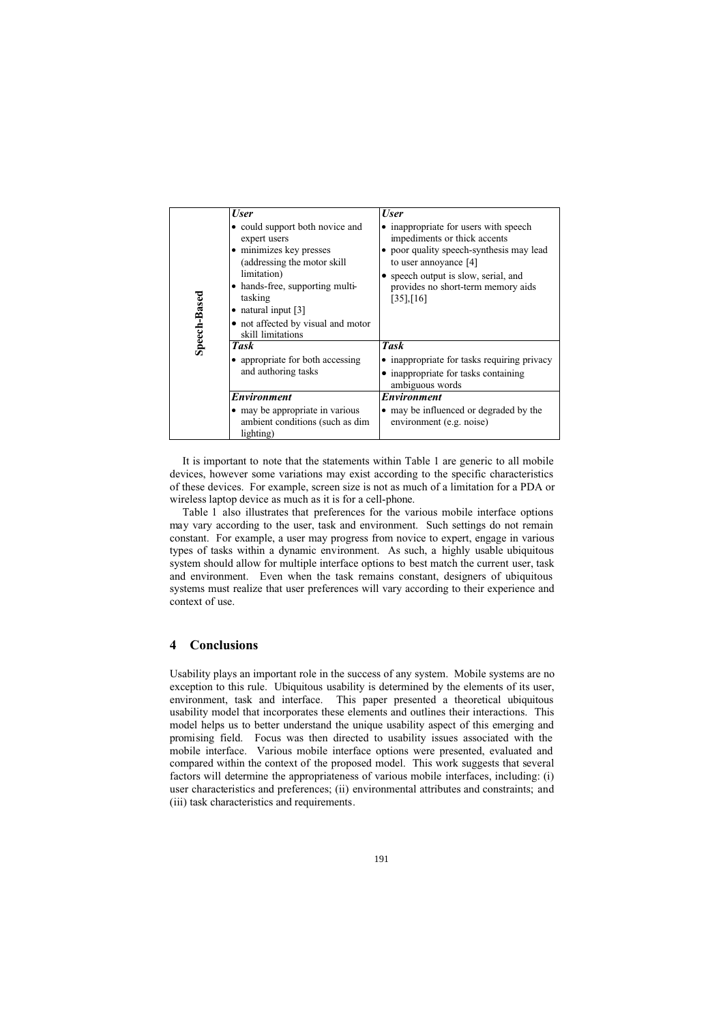|              | <b>User</b>                                                                                                                                                                                                                                                | <b>User</b>                                                                                                                                                                                                                               |
|--------------|------------------------------------------------------------------------------------------------------------------------------------------------------------------------------------------------------------------------------------------------------------|-------------------------------------------------------------------------------------------------------------------------------------------------------------------------------------------------------------------------------------------|
| Speech-Based | • could support both novice and<br>expert users<br>• minimizes key presses<br>(addressing the motor skill<br>limitation)<br>• hands-free, supporting multi-<br>tasking<br>• natural input $[3]$<br>• not affected by visual and motor<br>skill limitations | • inappropriate for users with speech<br>impediments or thick accents<br>• poor quality speech-synthesis may lead<br>to user annoyance [4]<br>• speech output is slow, serial, and<br>provides no short-term memory aids<br>$[35]$ , [16] |
|              | Task                                                                                                                                                                                                                                                       | <b>Task</b>                                                                                                                                                                                                                               |
|              | • appropriate for both accessing<br>and authoring tasks                                                                                                                                                                                                    | • inappropriate for tasks requiring privacy<br>• inappropriate for tasks containing<br>ambiguous words                                                                                                                                    |
|              | Environment                                                                                                                                                                                                                                                | <i><b>Environment</b></i>                                                                                                                                                                                                                 |
|              | • may be appropriate in various<br>ambient conditions (such as dim-<br>lighting)                                                                                                                                                                           | • may be influenced or degraded by the<br>environment (e.g. noise)                                                                                                                                                                        |

It is important to note that the statements within Table 1 are generic to all mobile devices, however some variations may exist according to the specific characteristics of these devices. For example, screen size is not as much of a limitation for a PDA or wireless laptop device as much as it is for a cell-phone.

Table 1 also illustrates that preferences for the various mobile interface options may vary according to the user, task and environment. Such settings do not remain constant. For example, a user may progress from novice to expert, engage in various types of tasks within a dynamic environment. As such, a highly usable ubiquitous system should allow for multiple interface options to best match the current user, task and environment. Even when the task remains constant, designers of ubiquitous systems must realize that user preferences will vary according to their experience and context of use.

### **4 Conclusions**

Usability plays an important role in the success of any system. Mobile systems are no exception to this rule. Ubiquitous usability is determined by the elements of its user, environment, task and interface. This paper presented a theoretical ubiquitous usability model that incorporates these elements and outlines their interactions. This model helps us to better understand the unique usability aspect of this emerging and promising field. Focus was then directed to usability issues associated with the mobile interface. Various mobile interface options were presented, evaluated and compared within the context of the proposed model. This work suggests that several factors will determine the appropriateness of various mobile interfaces, including: (i) user characteristics and preferences; (ii) environmental attributes and constraints; and (iii) task characteristics and requirements.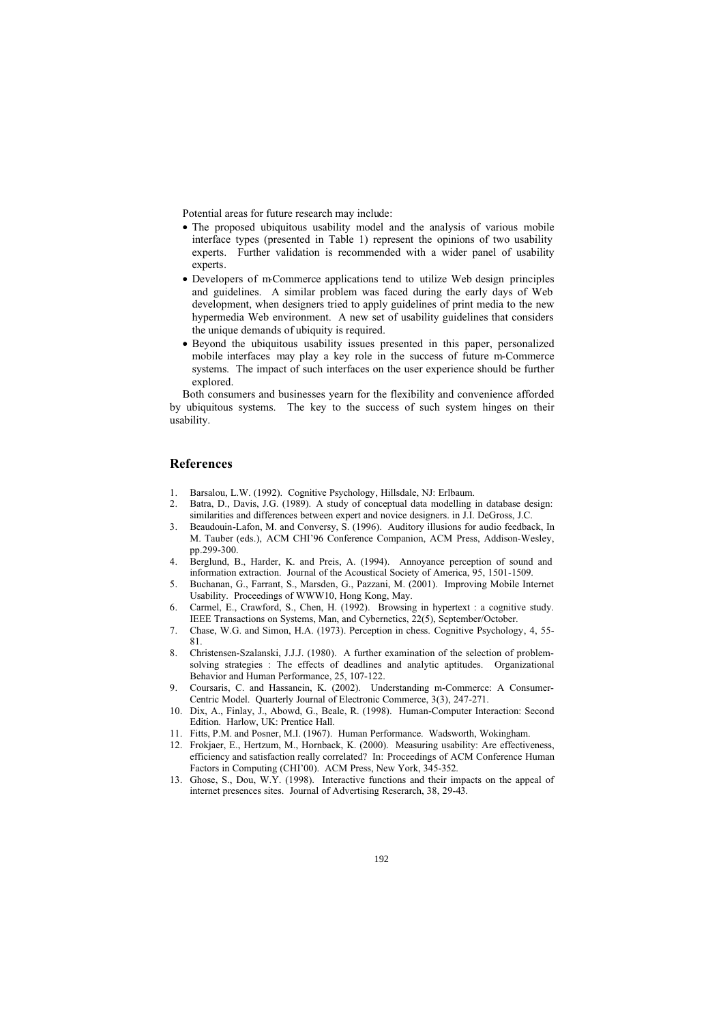Potential areas for future research may include:

- The proposed ubiquitous usability model and the analysis of various mobile interface types (presented in Table 1) represent the opinions of two usability experts. Further validation is recommended with a wider panel of usability experts.
- Developers of m-Commerce applications tend to utilize Web design principles and guidelines. A similar problem was faced during the early days of Web development, when designers tried to apply guidelines of print media to the new hypermedia Web environment. A new set of usability guidelines that considers the unique demands of ubiquity is required.
- Beyond the ubiquitous usability issues presented in this paper, personalized mobile interfaces may play a key role in the success of future m-Commerce systems. The impact of such interfaces on the user experience should be further explored.

Both consumers and businesses yearn for the flexibility and convenience afforded by ubiquitous systems. The key to the success of such system hinges on their usability.

### **References**

- 1. Barsalou, L.W. (1992). Cognitive Psychology, Hillsdale, NJ: Erlbaum.
- 2. Batra, D., Davis, J.G. (1989). A study of conceptual data modelling in database design: similarities and differences between expert and novice designers. in J.I. DeGross, J.C.
- 3. Beaudouin-Lafon, M. and Conversy, S. (1996). Auditory illusions for audio feedback, In M. Tauber (eds.), ACM CHI'96 Conference Companion, ACM Press, Addison-Wesley, pp.299-300.
- 4. Berglund, B., Harder, K. and Preis, A. (1994). Annoyance perception of sound and information extraction. Journal of the Acoustical Society of America, 95, 1501-1509.
- 5. Buchanan, G., Farrant, S., Marsden, G., Pazzani, M. (2001). Improving Mobile Internet Usability. Proceedings of WWW10, Hong Kong, May.
- Carmel, E., Crawford, S., Chen, H. (1992). Browsing in hypertext : a cognitive study. IEEE Transactions on Systems, Man, and Cybernetics, 22(5), September/October.
- 7. Chase, W.G. and Simon, H.A. (1973). Perception in chess. Cognitive Psychology, 4, 55- 81.
- 8. Christensen-Szalanski, J.J.J. (1980). A further examination of the selection of problemsolving strategies : The effects of deadlines and analytic aptitudes. Organizational Behavior and Human Performance, 25, 107-122.
- 9. Coursaris, C. and Hassanein, K. (2002). Understanding m-Commerce: A Consumer-Centric Model. Quarterly Journal of Electronic Commerce, 3(3), 247-271.
- 10. Dix, A., Finlay, J., Abowd, G., Beale, R. (1998). Human-Computer Interaction: Second Edition. Harlow, UK: Prentice Hall.
- 11. Fitts, P.M. and Posner, M.I. (1967). Human Performance. Wadsworth, Wokingham.
- 12. Frokjaer, E., Hertzum, M., Hornback, K. (2000). Measuring usability: Are effectiveness, efficiency and satisfaction really correlated? In: Proceedings of ACM Conference Human Factors in Computing (CHI'00). ACM Press, New York, 345-352.
- 13. Ghose, S., Dou, W.Y. (1998). Interactive functions and their impacts on the appeal of internet presences sites. Journal of Advertising Reserarch, 38, 29-43.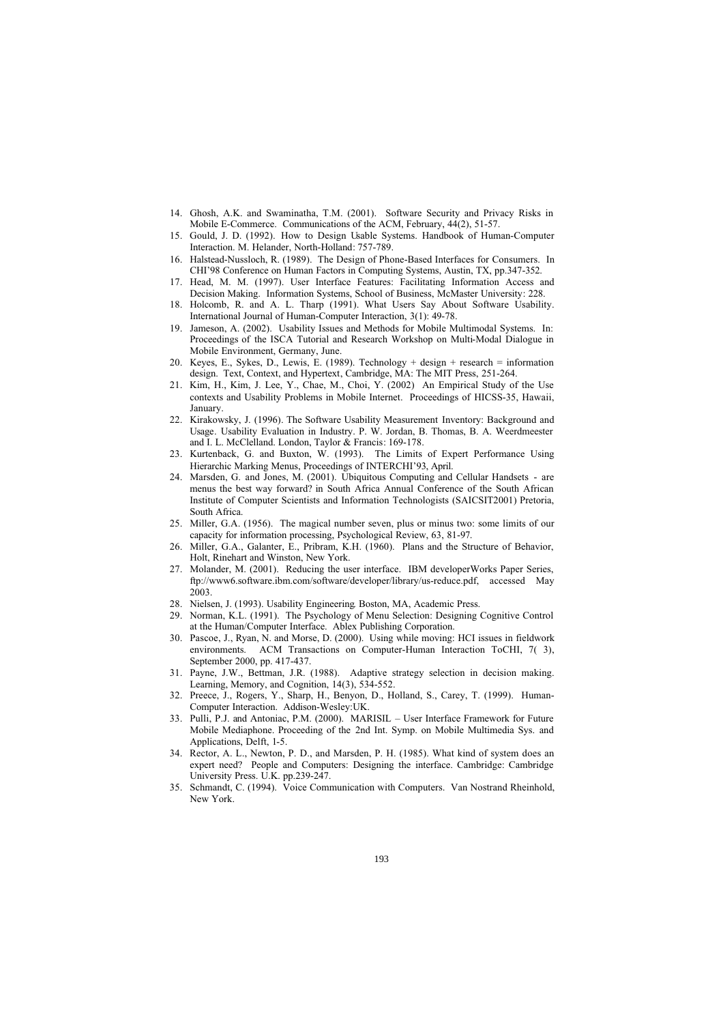- 14. Ghosh, A.K. and Swaminatha, T.M. (2001). Software Security and Privacy Risks in Mobile E-Commerce. Communications of the ACM, February, 44(2), 51-57.
- 15. Gould, J. D. (1992). How to Design Usable Systems. Handbook of Human-Computer Interaction. M. Helander, North-Holland: 757-789.
- Halstead-Nussloch, R. (1989). The Design of Phone-Based Interfaces for Consumers. In CHI'98 Conference on Human Factors in Computing Systems, Austin, TX, pp.347-352.
- 17. Head, M. M. (1997). User Interface Features: Facilitating Information Access and Decision Making. Information Systems, School of Business, McMaster University: 228.
- 18. Holcomb, R. and A. L. Tharp (1991). What Users Say About Software Usability. International Journal of Human-Computer Interaction, 3(1): 49-78.
- 19. Jameson, A. (2002). Usability Issues and Methods for Mobile Multimodal Systems. In: Proceedings of the ISCA Tutorial and Research Workshop on Multi-Modal Dialogue in Mobile Environment, Germany, June.
- 20. Keyes, E., Sykes, D., Lewis, E. (1989). Technology + design + research = information design. Text, Context, and Hypertext, Cambridge, MA: The MIT Press, 251-264.
- 21. Kim, H., Kim, J. Lee, Y., Chae, M., Choi, Y. (2002) An Empirical Study of the Use contexts and Usability Problems in Mobile Internet. Proceedings of HICSS-35, Hawaii, January.
- 22. Kirakowsky, J. (1996). The Software Usability Measurement Inventory: Background and Usage. Usability Evaluation in Industry. P. W. Jordan, B. Thomas, B. A. Weerdmeester and I. L. McClelland. London, Taylor & Francis: 169-178.
- 23. Kurtenback, G. and Buxton, W. (1993). The Limits of Expert Performance Using Hierarchic Marking Menus, Proceedings of INTERCHI'93, April.
- 24. Marsden, G. and Jones, M. (2001). Ubiquitous Computing and Cellular Handsets are menus the best way forward? in South Africa Annual Conference of the South African Institute of Computer Scientists and Information Technologists (SAICSIT2001) Pretoria, South Africa.
- 25. Miller, G.A. (1956). The magical number seven, plus or minus two: some limits of our capacity for information processing, Psychological Review, 63, 81-97.
- 26. Miller, G.A., Galanter, E., Pribram, K.H. (1960). Plans and the Structure of Behavior, Holt, Rinehart and Winston, New York.
- 27. Molander, M. (2001). Reducing the user interface. IBM developerWorks Paper Series, ftp://www6.software.ibm.com/software/developer/library/us-reduce.pdf, accessed May 2003.
- 28. Nielsen, J. (1993). Usability Engineering. Boston, MA, Academic Press.
- 29. Norman, K.L. (1991). The Psychology of Menu Selection: Designing Cognitive Control at the Human/Computer Interface. Ablex Publishing Corporation.
- 30. Pascoe, J., Ryan, N. and Morse, D. (2000). Using while moving: HCI issues in fieldwork environments. ACM Transactions on Computer-Human Interaction ToCHI, 7( 3), September 2000, pp. 417-437.
- 31. Payne, J.W., Bettman, J.R. (1988). Adaptive strategy selection in decision making. Learning, Memory, and Cognition, 14(3), 534-552.
- 32. Preece, J., Rogers, Y., Sharp, H., Benyon, D., Holland, S., Carey, T. (1999). Human-Computer Interaction. Addison-Wesley:UK.
- 33. Pulli, P.J. and Antoniac, P.M. (2000). MARISIL User Interface Framework for Future Mobile Mediaphone. Proceeding of the 2nd Int. Symp. on Mobile Multimedia Sys. and Applications, Delft, 1-5.
- 34. Rector, A. L., Newton, P. D., and Marsden, P. H. (1985). What kind of system does an expert need? People and Computers: Designing the interface. Cambridge: Cambridge University Press. U.K. pp.239-247.
- 35. Schmandt, C. (1994). Voice Communication with Computers. Van Nostrand Rheinhold, New York.